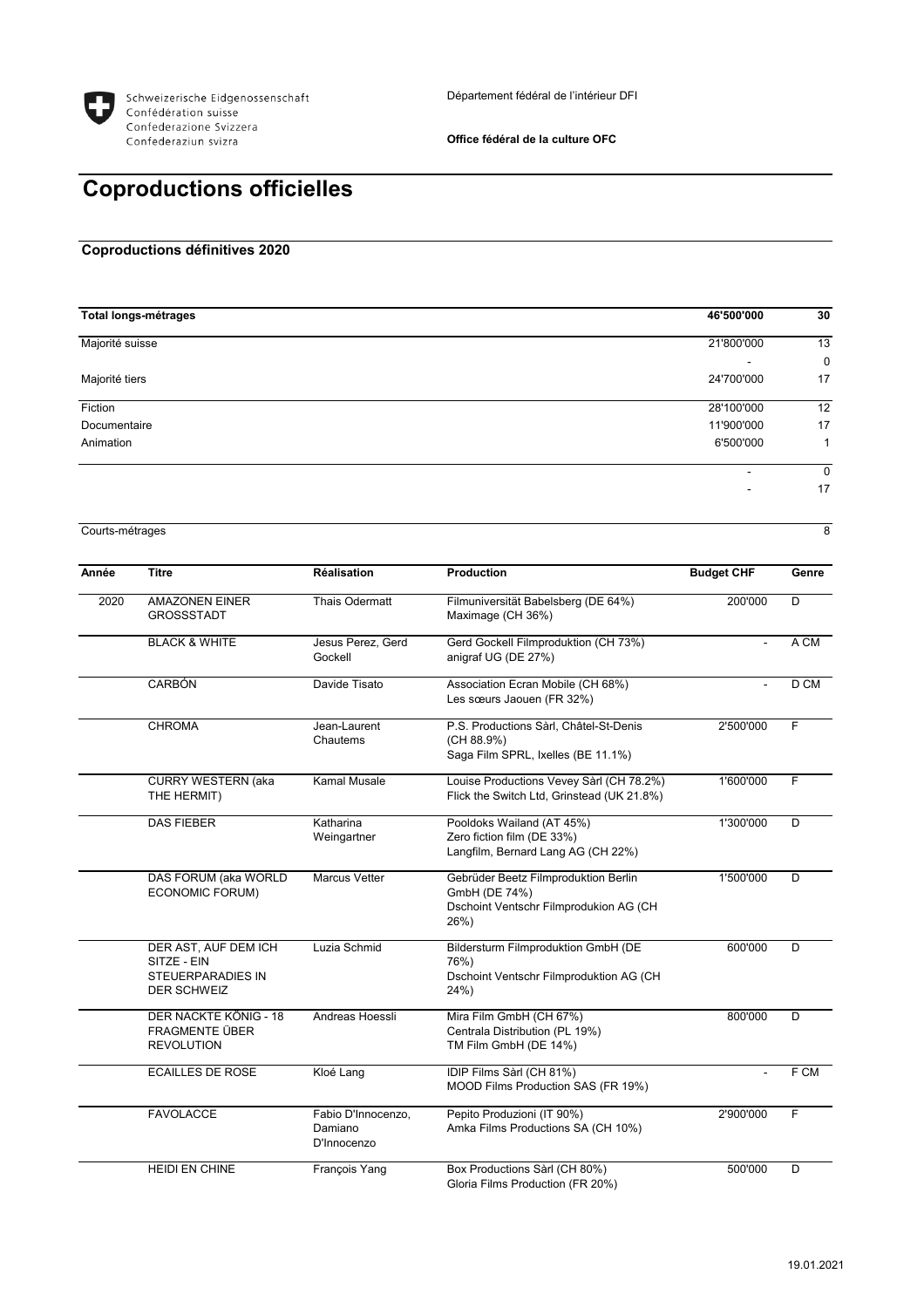

## **Office fédéral de la culture OFC**

## **Coproductions officielles**

## **Coproductions définitives 2020**

| <b>Total longs-métrages</b> | 46'500'000               | 30          |
|-----------------------------|--------------------------|-------------|
| Majorité suisse             | 21'800'000               | 13          |
|                             | $\overline{\phantom{0}}$ | $\mathbf 0$ |
| Majorité tiers              | 24'700'000               | 17          |
| Fiction                     | 28'100'000               | 12          |
| Documentaire                | 11'900'000               | 17          |
| Animation                   | 6'500'000                | 1           |
|                             | $\overline{\phantom{0}}$ | 0           |
|                             | $\overline{\phantom{0}}$ | 17          |

Courts-métrages 8

| Année | <b>Titre</b>                                                                   | <b>Réalisation</b>                           | <b>Production</b>                                                                                       | <b>Budget CHF</b> | Genre           |
|-------|--------------------------------------------------------------------------------|----------------------------------------------|---------------------------------------------------------------------------------------------------------|-------------------|-----------------|
| 2020  | <b>AMAZONEN EINER</b><br><b>GROSSSTADT</b>                                     | <b>Thais Odermatt</b>                        | Filmuniversität Babelsberg (DE 64%)<br>Maximage (CH 36%)                                                | 200'000           | D               |
|       | <b>BLACK &amp; WHITE</b>                                                       | Jesus Perez, Gerd<br>Gockell                 | Gerd Gockell Filmproduktion (CH 73%)<br>anigraf UG (DE 27%)                                             |                   | A CM            |
|       | <b>CARBÓN</b>                                                                  | Davide Tisato                                | Association Ecran Mobile (CH 68%)<br>Les sœurs Jaouen (FR 32%)                                          |                   | D <sub>CM</sub> |
|       | <b>CHROMA</b>                                                                  | Jean-Laurent<br>Chautems                     | P.S. Productions Sàrl, Châtel-St-Denis<br>(CH 88.9%)<br>Saga Film SPRL, Ixelles (BE 11.1%)              | 2'500'000         | F.              |
|       | <b>CURRY WESTERN (aka</b><br>THE HERMIT)                                       | <b>Kamal Musale</b>                          | Louise Productions Vevey Sàrl (CH 78.2%)<br>Flick the Switch Ltd, Grinstead (UK 21.8%)                  | 1'600'000         | F               |
|       | <b>DAS FIEBER</b>                                                              | Katharina<br>Weingartner                     | Pooldoks Wailand (AT 45%)<br>Zero fiction film (DE 33%)<br>Langfilm, Bernard Lang AG (CH 22%)           | 1'300'000         | D               |
|       | DAS FORUM (aka WORLD<br>ECONOMIC FORUM)                                        | <b>Marcus Vetter</b>                         | Gebrüder Beetz Filmproduktion Berlin<br>GmbH (DE 74%)<br>Dschoint Ventschr Filmprodukion AG (CH<br>26%) | 1'500'000         | D               |
|       | DER AST, AUF DEM ICH<br>SITZE - EIN<br>STEUERPARADIES IN<br><b>DER SCHWEIZ</b> | Luzia Schmid                                 | <b>Bildersturm Filmproduktion GmbH (DE</b><br>76%)<br>Dschoint Ventschr Filmproduktion AG (CH<br>24%)   | 600'000           | D               |
|       | DER NACKTE KÖNIG - 18<br><b>FRAGMENTE ÜBER</b><br><b>REVOLUTION</b>            | Andreas Hoessli                              | Mira Film GmbH (CH 67%)<br>Centrala Distribution (PL 19%)<br>TM Film GmbH (DE 14%)                      | 800'000           | D               |
|       | <b>ECAILLES DE ROSE</b>                                                        | Kloé Lang                                    | IDIP Films Sàrl (CH 81%)<br>MOOD Films Production SAS (FR 19%)                                          |                   | F CM            |
|       | <b>FAVOLACCE</b>                                                               | Fabio D'Innocenzo,<br>Damiano<br>D'Innocenzo | Pepito Produzioni (IT 90%)<br>Amka Films Productions SA (CH 10%)                                        | 2'900'000         | F               |
|       | HEIDI EN CHINE                                                                 | François Yang                                | Box Productions Sàrl (CH 80%)<br>Gloria Films Production (FR 20%)                                       | 500'000           | D               |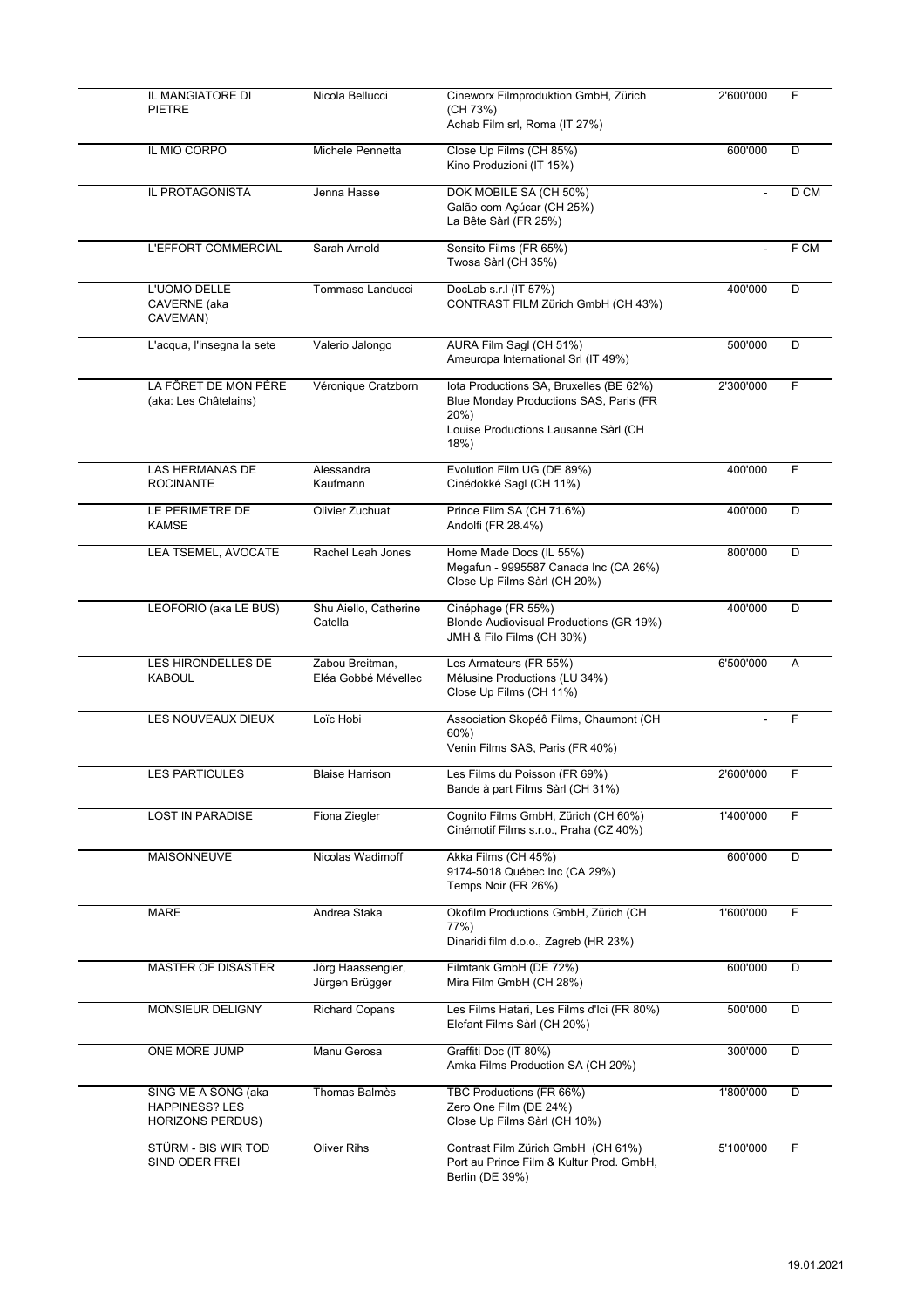| IL MANGIATORE DI<br><b>PIETRE</b>                                       | Nicola Bellucci                        | Cineworx Filmproduktion GmbH, Zürich<br>(CH 73%)<br>Achab Film srl, Roma (IT 27%)                                                        | 2'600'000      | F    |
|-------------------------------------------------------------------------|----------------------------------------|------------------------------------------------------------------------------------------------------------------------------------------|----------------|------|
| IL MIO CORPO                                                            | Michele Pennetta                       | Close Up Films (CH 85%)<br>Kino Produzioni (IT 15%)                                                                                      | 600'000        | D    |
| IL PROTAGONISTA                                                         | Jenna Hasse                            | DOK MOBILE SA (CH 50%)<br>Galão com Açúcar (CH 25%)<br>La Bête Sàrl (FR 25%)                                                             |                | D CM |
| L'EFFORT COMMERCIAL                                                     | Sarah Arnold                           | Sensito Films (FR 65%)<br>Twosa Sàrl (CH 35%)                                                                                            | $\blacksquare$ | F CM |
| L'UOMO DELLE<br>CAVERNE (aka<br>CAVEMAN)                                | Tommaso Landucci                       | DocLab s.r.I (IT 57%)<br>CONTRAST FILM Zürich GmbH (CH 43%)                                                                              | 400'000        | D    |
| L'acqua, l'insegna la sete                                              | Valerio Jalongo                        | AURA Film Sagl (CH 51%)<br>Ameuropa International Srl (IT 49%)                                                                           | 500'000        | D    |
| LA FÔRET DE MON PÈRE<br>(aka: Les Châtelains)                           | Véronique Cratzborn                    | lota Productions SA, Bruxelles (BE 62%)<br>Blue Monday Productions SAS, Paris (FR<br>20%<br>Louise Productions Lausanne Sàrl (CH<br>18%) | 2'300'000      | F    |
| <b>LAS HERMANAS DE</b><br><b>ROCINANTE</b>                              | Alessandra<br>Kaufmann                 | Evolution Film UG (DE 89%)<br>Cinédokké Sagl (CH 11%)                                                                                    | 400'000        | F    |
| LE PERIMETRE DE<br><b>KAMSE</b>                                         | Olivier Zuchuat                        | Prince Film SA (CH 71.6%)<br>Andolfi (FR 28.4%)                                                                                          | 400'000        | D    |
| LEA TSEMEL, AVOCATE                                                     | Rachel Leah Jones                      | Home Made Docs (IL 55%)<br>Megafun - 9995587 Canada Inc (CA 26%)<br>Close Up Films Sàrl (CH 20%)                                         | 800'000        | D    |
| LEOFORIO (aka LE BUS)                                                   | Shu Aiello, Catherine<br>Catella       | Cinéphage (FR 55%)<br>Blonde Audiovisual Productions (GR 19%)<br>JMH & Filo Films (CH 30%)                                               | 400'000        | D    |
| LES HIRONDELLES DE<br><b>KABOUL</b>                                     | Zabou Breitman,<br>Eléa Gobbé Mévellec | Les Armateurs (FR 55%)<br>Mélusine Productions (LU 34%)<br>Close Up Films (CH 11%)                                                       | 6'500'000      | A    |
| LES NOUVEAUX DIEUX                                                      | Loïc Hobi                              | Association Skopéô Films, Chaumont (CH<br>$60\%$ )<br>Venin Films SAS, Paris (FR 40%)                                                    |                |      |
| LES PARTICULES                                                          | <b>Blaise Harrison</b>                 | Les Films du Poisson (FR 69%)<br>Bande à part Films Sàrl (CH 31%)                                                                        | 2'600'000      | F    |
| <b>LOST IN PARADISE</b>                                                 | Fiona Ziegler                          | Cognito Films GmbH, Zürich (CH 60%)<br>Cinémotif Films s.r.o., Praha (CZ 40%)                                                            | 1'400'000      | F    |
| MAISONNEUVE                                                             | Nicolas Wadimoff                       | Akka Films (CH 45%)<br>9174-5018 Québec Inc (CA 29%)<br>Temps Noir (FR 26%)                                                              | 600'000        | D    |
| MARE                                                                    | Andrea Staka                           | Okofilm Productions GmbH, Zürich (CH<br>77%)<br>Dinaridi film d.o.o., Zagreb (HR 23%)                                                    | 1'600'000      | F    |
| MASTER OF DISASTER                                                      | Jörg Haassengier,<br>Jürgen Brügger    | Filmtank GmbH (DE 72%)<br>Mira Film GmbH (CH 28%)                                                                                        | 600'000        | D    |
| MONSIEUR DELIGNY                                                        | <b>Richard Copans</b>                  | Les Films Hatari, Les Films d'Ici (FR 80%)<br>Elefant Films Sàrl (CH 20%)                                                                | 500'000        | D    |
| ONE MORE JUMP                                                           | Manu Gerosa                            | Graffiti Doc (IT 80%)<br>Amka Films Production SA (CH 20%)                                                                               | 300'000        | D    |
| SING ME A SONG (aka<br><b>HAPPINESS? LES</b><br><b>HORIZONS PERDUS)</b> | Thomas Balmès                          | TBC Productions (FR 66%)<br>Zero One Film (DE 24%)<br>Close Up Films Sàrl (CH 10%)                                                       | 1'800'000      | D    |
| STÜRM - BIS WIR TOD<br>SIND ODER FREI                                   | <b>Oliver Rihs</b>                     | Contrast Film Zürich GmbH (CH 61%)<br>Port au Prince Film & Kultur Prod. GmbH,<br>Berlin (DE 39%)                                        | 5'100'000      | F    |